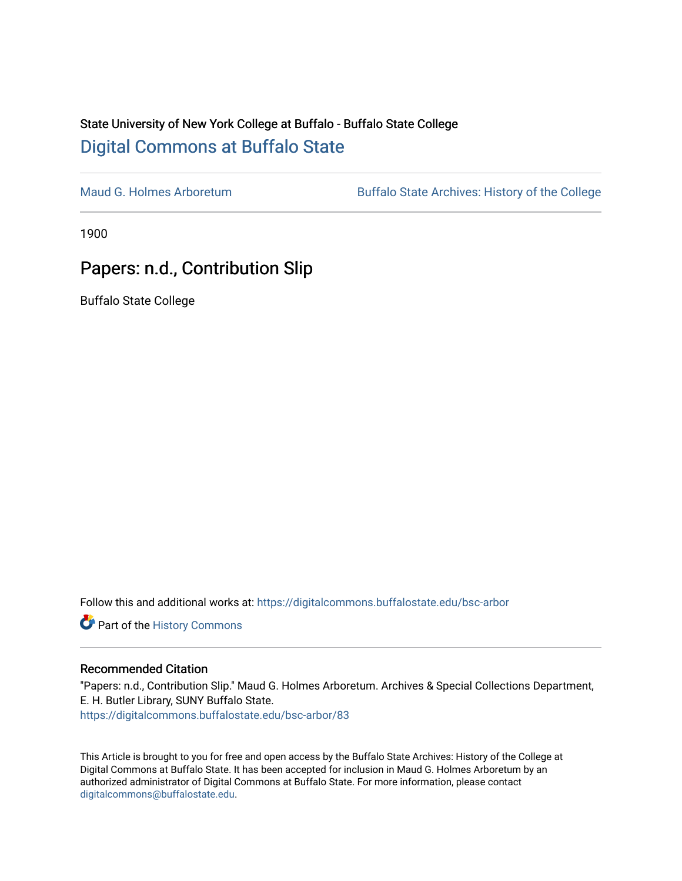## State University of New York College at Buffalo - Buffalo State College [Digital Commons at Buffalo State](https://digitalcommons.buffalostate.edu/)

[Maud G. Holmes Arboretum](https://digitalcommons.buffalostate.edu/bsc-arbor) Buffalo State Archives: History of the College

1900

## Papers: n.d., Contribution Slip

Buffalo State College

Follow this and additional works at: [https://digitalcommons.buffalostate.edu/bsc-arbor](https://digitalcommons.buffalostate.edu/bsc-arbor?utm_source=digitalcommons.buffalostate.edu%2Fbsc-arbor%2F83&utm_medium=PDF&utm_campaign=PDFCoverPages) 

Part of the [History Commons](http://network.bepress.com/hgg/discipline/489?utm_source=digitalcommons.buffalostate.edu%2Fbsc-arbor%2F83&utm_medium=PDF&utm_campaign=PDFCoverPages) 

## Recommended Citation

"Papers: n.d., Contribution Slip." Maud G. Holmes Arboretum. Archives & Special Collections Department, E. H. Butler Library, SUNY Buffalo State. [https://digitalcommons.buffalostate.edu/bsc-arbor/83](https://digitalcommons.buffalostate.edu/bsc-arbor/83?utm_source=digitalcommons.buffalostate.edu%2Fbsc-arbor%2F83&utm_medium=PDF&utm_campaign=PDFCoverPages) 

This Article is brought to you for free and open access by the Buffalo State Archives: History of the College at Digital Commons at Buffalo State. It has been accepted for inclusion in Maud G. Holmes Arboretum by an authorized administrator of Digital Commons at Buffalo State. For more information, please contact [digitalcommons@buffalostate.edu.](mailto:digitalcommons@buffalostate.edu)